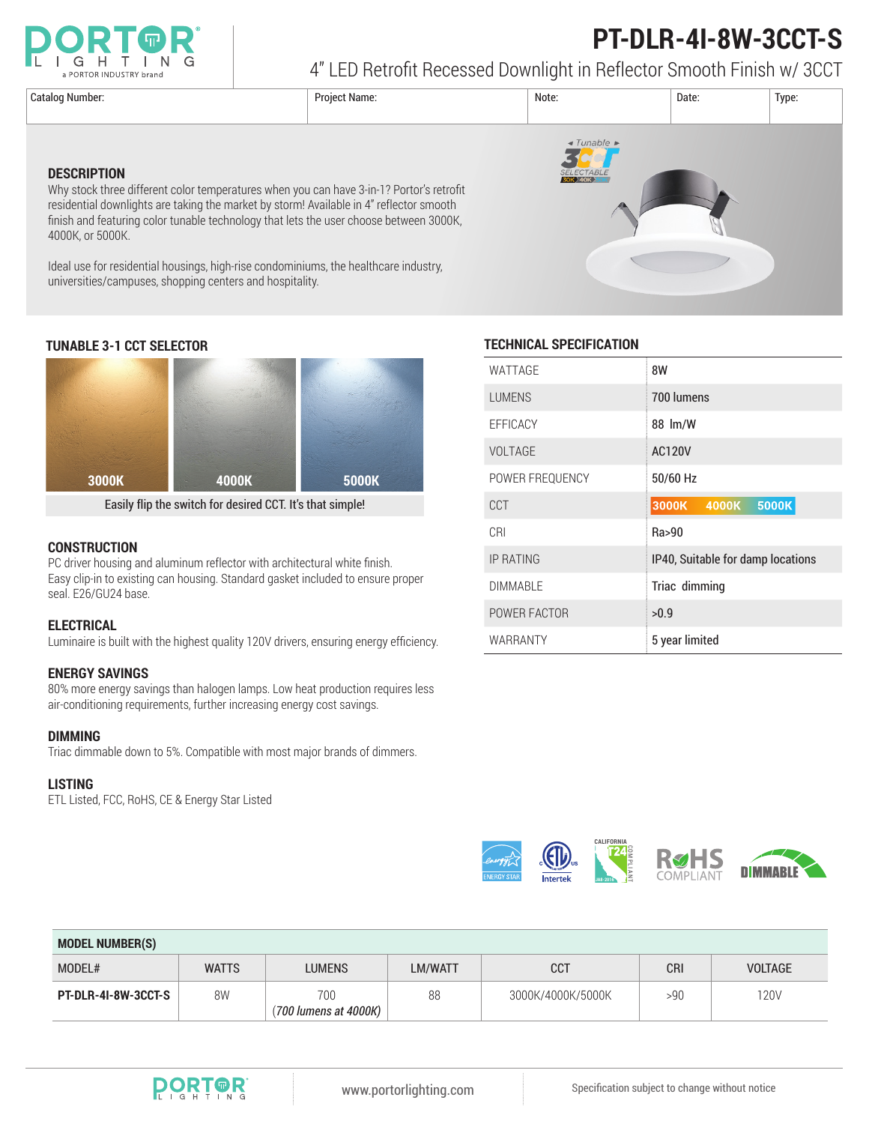

# **PT-DLR-4I-8W-3CCT-S**

4" LED Retrofit Recessed Downlight in Reflector Smooth Finish w/ 3CCT

Catalog Number: Project Name: Note: Date: Type:  $\triangleleft$  Tunable **DESCRIPTION** Why stock three different color temperatures when you can have 3-in-1? Portor's retrofit residential downlights are taking the market by storm! Available in 4" reflector smooth finish and featuring color tunable technology that lets the user choose between 3000K, 4000K, or 5000K. Ideal use for residential housings, high-rise condominiums, the healthcare industry, universities/campuses, shopping centers and hospitality.



Easily flip the switch for desired CCT. It's that simple!

#### **CONSTRUCTION**

PC driver housing and aluminum reflector with architectural white finish. Easy clip-in to existing can housing. Standard gasket included to ensure proper seal. E26/GU24 base.

#### **ELECTRICAL**

Luminaire is built with the highest quality 120V drivers, ensuring energy efficiency.

#### **ENERGY SAVINGS**

80% more energy savings than halogen lamps. Low heat production requires less air-conditioning requirements, further increasing energy cost savings.

#### **DIMMING**

Triac dimmable down to 5%. Compatible with most major brands of dimmers.

#### **LISTING**

ETL Listed, FCC, RoHS, CE & Energy Star Listed



#### **TUNABLE 3-1 CCT SELECTOR TECHNICAL SPECIFICATION**

| WATTAGE          | 8W                                 |  |  |  |  |
|------------------|------------------------------------|--|--|--|--|
| <b>LUMENS</b>    | 700 lumens                         |  |  |  |  |
| EFFICACY         | 88 lm/W                            |  |  |  |  |
| <b>VOLTAGE</b>   | <b>AC120V</b>                      |  |  |  |  |
| POWER FREQUENCY  | 50/60 Hz                           |  |  |  |  |
| CCT              | <b>3000K 4000K</b><br><b>5000K</b> |  |  |  |  |
| CRI              | Ra>90                              |  |  |  |  |
| <b>IP RATING</b> | IP40, Suitable for damp locations  |  |  |  |  |
| <b>DIMMABLE</b>  | Triac dimming                      |  |  |  |  |
| POWER FACTOR     | >0.9                               |  |  |  |  |
| WARRANTY         | 5 year limited                     |  |  |  |  |



| <b>MODEL NUMBER(S)</b>     |              |                              |         |                   |            |                |  |  |
|----------------------------|--------------|------------------------------|---------|-------------------|------------|----------------|--|--|
| MODEL#                     | <b>WATTS</b> | <b>LUMENS</b>                | LM/WATT | <b>CCT</b>        | <b>CRI</b> | <b>VOLTAGE</b> |  |  |
| <b>PT-DLR-4I-8W-3CCT-S</b> | 8W           | 700<br>(700 lumens at 4000K) | 88      | 3000K/4000K/5000K | >90        | <b>120V</b>    |  |  |